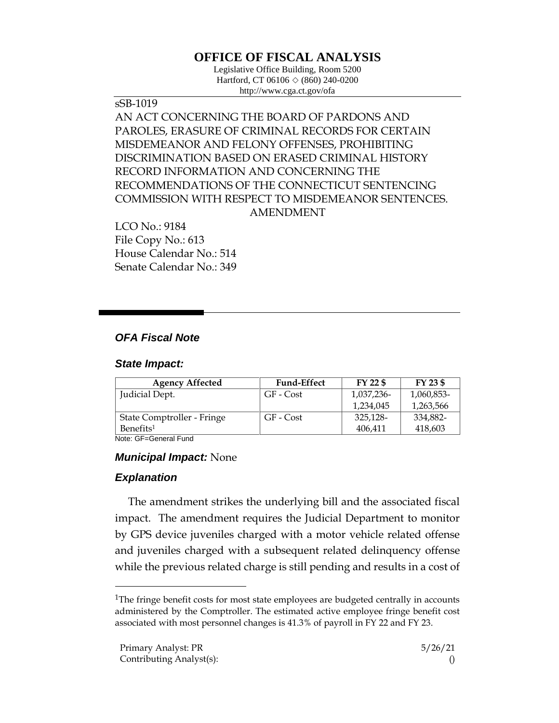# **OFFICE OF FISCAL ANALYSIS**

Legislative Office Building, Room 5200 Hartford, CT 06106  $\Diamond$  (860) 240-0200 http://www.cga.ct.gov/ofa

sSB-1019 AN ACT CONCERNING THE BOARD OF PARDONS AND PAROLES, ERASURE OF CRIMINAL RECORDS FOR CERTAIN MISDEMEANOR AND FELONY OFFENSES, PROHIBITING DISCRIMINATION BASED ON ERASED CRIMINAL HISTORY RECORD INFORMATION AND CONCERNING THE RECOMMENDATIONS OF THE CONNECTICUT SENTENCING COMMISSION WITH RESPECT TO MISDEMEANOR SENTENCES. AMENDMENT

LCO No.: 9184 File Copy No.: 613 House Calendar No.: 514 Senate Calendar No.: 349

## *OFA Fiscal Note*

#### *State Impact:*

| <b>Agency Affected</b>     | <b>Fund-Effect</b> | FY 22 \$   | FY 23 \$   |
|----------------------------|--------------------|------------|------------|
| Judicial Dept.             | GF - Cost          | 1,037,236- | 1,060,853- |
|                            |                    | 1.234.045  | 1,263,566  |
| State Comptroller - Fringe | GF - Cost          | 325,128-   | 334,882-   |
| Benefits <sup>1</sup>      |                    | 406,411    | 418,603    |

Note: GF=General Fund

#### *Municipal Impact:* None

### *Explanation*

 $\overline{a}$ 

The amendment strikes the underlying bill and the associated fiscal impact. The amendment requires the Judicial Department to monitor by GPS device juveniles charged with a motor vehicle related offense and juveniles charged with a subsequent related delinquency offense while the previous related charge is still pending and results in a cost of

<sup>&</sup>lt;sup>1</sup>The fringe benefit costs for most state employees are budgeted centrally in accounts administered by the Comptroller. The estimated active employee fringe benefit cost associated with most personnel changes is 41.3% of payroll in FY 22 and FY 23.